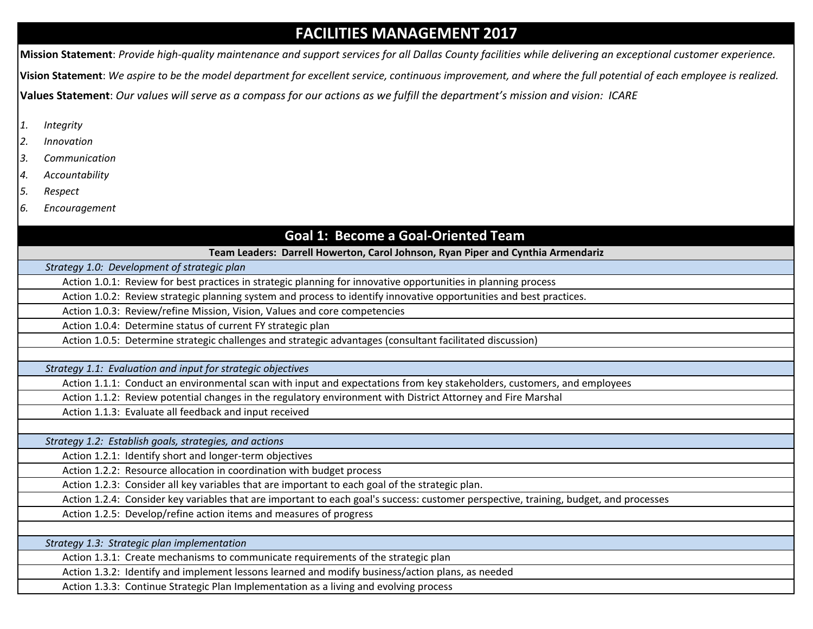## **FACILITIES MANAGEMENT 2017**

**Mission Statement**: *Provide high-quality maintenance and support services for all Dallas County facilities while delivering an exceptional customer experience.* **Vision Statement**: *We aspire to be the model department for excellent service, continuous improvement, and where the full potential of each employee is realized.*  **Values Statement**: *Our values will serve as a compass for our actions as we fulfill the department's mission and vision: ICARE*

- *1. Integrity*
- *2. Innovation*
- *3. Communication*
- *4. Accountability*
- *5. Respect*
- *6. Encouragement*

# **Goal 1: Become a Goal-Oriented Team**

**Team Leaders: Darrell Howerton, Carol Johnson, Ryan Piper and Cynthia Armendariz**

*Strategy 1.0: Development of strategic plan* 

Action 1.0.1: Review for best practices in strategic planning for innovative opportunities in planning process

Action 1.0.2: Review strategic planning system and process to identify innovative opportunities and best practices.

Action 1.0.3: Review/refine Mission, Vision, Values and core competencies

Action 1.0.4: Determine status of current FY strategic plan

Action 1.0.5: Determine strategic challenges and strategic advantages (consultant facilitated discussion)

*Strategy 1.1: Evaluation and input for strategic objectives*

Action 1.1.1: Conduct an environmental scan with input and expectations from key stakeholders, customers, and employees

Action 1.1.2: Review potential changes in the regulatory environment with District Attorney and Fire Marshal

Action 1.1.3: Evaluate all feedback and input received

*Strategy 1.2: Establish goals, strategies, and actions*

Action 1.2.1: Identify short and longer-term objectives

Action 1.2.2: Resource allocation in coordination with budget process

Action 1.2.3: Consider all key variables that are important to each goal of the strategic plan.

Action 1.2.4: Consider key variables that are important to each goal's success: customer perspective, training, budget, and processes

Action 1.2.5: Develop/refine action items and measures of progress

*Strategy 1.3: Strategic plan implementation*

Action 1.3.1: Create mechanisms to communicate requirements of the strategic plan

Action 1.3.2: Identify and implement lessons learned and modify business/action plans, as needed

Action 1.3.3: Continue Strategic Plan Implementation as a living and evolving process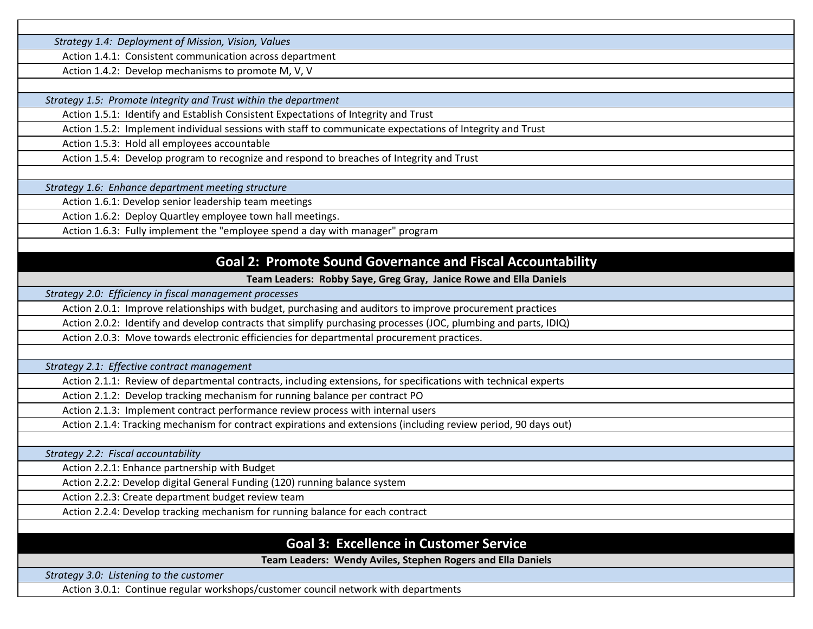*Strategy 1.4: Deployment of Mission, Vision, Values*

Action 1.4.1: Consistent communication across department

Action 1.4.2: Develop mechanisms to promote M, V, V

*Strategy 1.5: Promote Integrity and Trust within the department*

Action 1.5.1: Identify and Establish Consistent Expectations of Integrity and Trust

Action 1.5.2: Implement individual sessions with staff to communicate expectations of Integrity and Trust

Action 1.5.3: Hold all employees accountable

Action 1.5.4: Develop program to recognize and respond to breaches of Integrity and Trust

*Strategy 1.6: Enhance department meeting structure*

Action 1.6.1: Develop senior leadership team meetings

Action 1.6.2: Deploy Quartley employee town hall meetings.

Action 1.6.3: Fully implement the "employee spend a day with manager" program

#### **Goal 2: Promote Sound Governance and Fiscal Accountability**

**Team Leaders: Robby Saye, Greg Gray, Janice Rowe and Ella Daniels**

*Strategy 2.0: Efficiency in fiscal management processes*

Action 2.0.1: Improve relationships with budget, purchasing and auditors to improve procurement practices

Action 2.0.2: Identify and develop contracts that simplify purchasing processes (JOC, plumbing and parts, IDIQ)

Action 2.0.3: Move towards electronic efficiencies for departmental procurement practices.

*Strategy 2.1: Effective contract management* 

Action 2.1.1: Review of departmental contracts, including extensions, for specifications with technical experts

Action 2.1.2: Develop tracking mechanism for running balance per contract PO

Action 2.1.3: Implement contract performance review process with internal users

Action 2.1.4: Tracking mechanism for contract expirations and extensions (including review period, 90 days out)

*Strategy 2.2: Fiscal accountability* 

Action 2.2.1: Enhance partnership with Budget

Action 2.2.2: Develop digital General Funding (120) running balance system

Action 2.2.3: Create department budget review team

Action 2.2.4: Develop tracking mechanism for running balance for each contract

## **Goal 3: Excellence in Customer Service**

**Team Leaders: Wendy Aviles, Stephen Rogers and Ella Daniels**

*Strategy 3.0: Listening to the customer*

Action 3.0.1: Continue regular workshops/customer council network with departments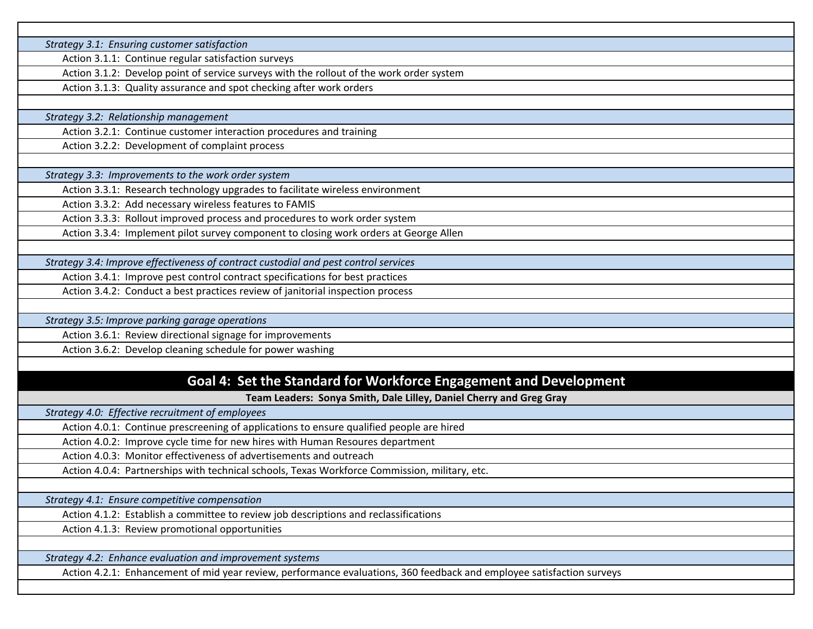*Strategy 3.1: Ensuring customer satisfaction*

Action 3.1.1: Continue regular satisfaction surveys

Action 3.1.2: Develop point of service surveys with the rollout of the work order system

Action 3.1.3: Quality assurance and spot checking after work orders

*Strategy 3.2: Relationship management*

Action 3.2.1: Continue customer interaction procedures and training

Action 3.2.2: Development of complaint process

*Strategy 3.3: Improvements to the work order system*

Action 3.3.1: Research technology upgrades to facilitate wireless environment

Action 3.3.2: Add necessary wireless features to FAMIS

Action 3.3.3: Rollout improved process and procedures to work order system

Action 3.3.4: Implement pilot survey component to closing work orders at George Allen

*Strategy 3.4: Improve effectiveness of contract custodial and pest control services*

Action 3.4.1: Improve pest control contract specifications for best practices

Action 3.4.2: Conduct a best practices review of janitorial inspection process

*Strategy 3.5: Improve parking garage operations*

Action 3.6.1: Review directional signage for improvements

Action 3.6.2: Develop cleaning schedule for power washing

### **Goal 4: Set the Standard for Workforce Engagement and Development**

**Team Leaders: Sonya Smith, Dale Lilley, Daniel Cherry and Greg Gray**

*Strategy 4.0: Effective recruitment of employees*

Action 4.0.1: Continue prescreening of applications to ensure qualified people are hired

Action 4.0.2: Improve cycle time for new hires with Human Resoures department

Action 4.0.3: Monitor effectiveness of advertisements and outreach

Action 4.0.4: Partnerships with technical schools, Texas Workforce Commission, military, etc.

*Strategy 4.1: Ensure competitive compensation*

Action 4.1.2: Establish a committee to review job descriptions and reclassifications

Action 4.1.3: Review promotional opportunities

*Strategy 4.2: Enhance evaluation and improvement systems*

Action 4.2.1: Enhancement of mid year review, performance evaluations, 360 feedback and employee satisfaction surveys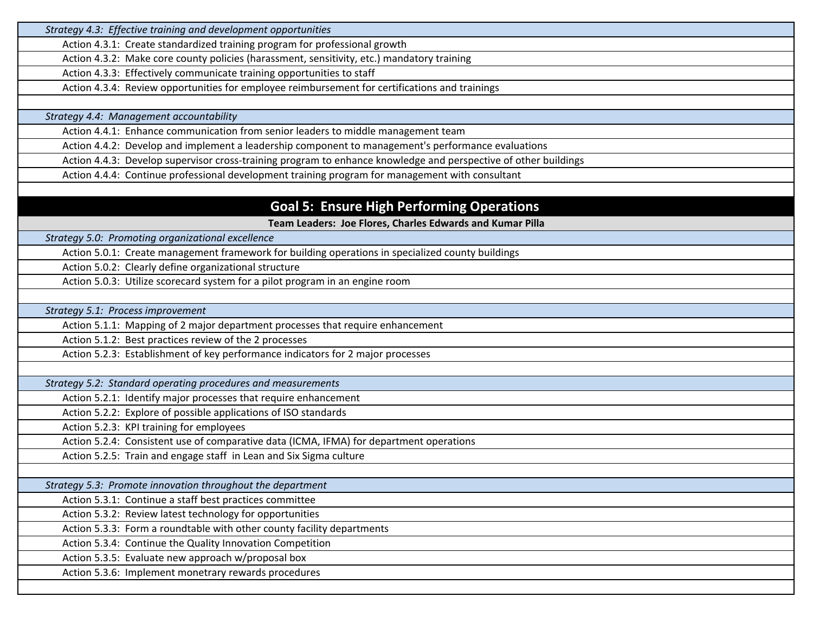| Strategy 4.3: Effective training and development opportunities                                                  |  |
|-----------------------------------------------------------------------------------------------------------------|--|
| Action 4.3.1: Create standardized training program for professional growth                                      |  |
| Action 4.3.2: Make core county policies (harassment, sensitivity, etc.) mandatory training                      |  |
| Action 4.3.3: Effectively communicate training opportunities to staff                                           |  |
| Action 4.3.4: Review opportunities for employee reimbursement for certifications and trainings                  |  |
|                                                                                                                 |  |
| Strategy 4.4: Management accountability                                                                         |  |
| Action 4.4.1: Enhance communication from senior leaders to middle management team                               |  |
| Action 4.4.2: Develop and implement a leadership component to management's performance evaluations              |  |
| Action 4.4.3: Develop supervisor cross-training program to enhance knowledge and perspective of other buildings |  |
| Action 4.4.4: Continue professional development training program for management with consultant                 |  |
|                                                                                                                 |  |
| <b>Goal 5: Ensure High Performing Operations</b>                                                                |  |
| Team Leaders: Joe Flores, Charles Edwards and Kumar Pilla                                                       |  |
| Strategy 5.0: Promoting organizational excellence                                                               |  |
| Action 5.0.1: Create management framework for building operations in specialized county buildings               |  |
| Action 5.0.2: Clearly define organizational structure                                                           |  |
| Action 5.0.3: Utilize scorecard system for a pilot program in an engine room                                    |  |
|                                                                                                                 |  |
| Strategy 5.1: Process improvement                                                                               |  |
| Action 5.1.1: Mapping of 2 major department processes that require enhancement                                  |  |
| Action 5.1.2: Best practices review of the 2 processes                                                          |  |
| Action 5.2.3: Establishment of key performance indicators for 2 major processes                                 |  |
|                                                                                                                 |  |
| Strategy 5.2: Standard operating procedures and measurements                                                    |  |
| Action 5.2.1: Identify major processes that require enhancement                                                 |  |
| Action 5.2.2: Explore of possible applications of ISO standards                                                 |  |
| Action 5.2.3: KPI training for employees                                                                        |  |
| Action 5.2.4: Consistent use of comparative data (ICMA, IFMA) for department operations                         |  |
| Action 5.2.5: Train and engage staff in Lean and Six Sigma culture                                              |  |
|                                                                                                                 |  |
| Strategy 5.3: Promote innovation throughout the department                                                      |  |
| Action 5.3.1: Continue a staff best practices committee                                                         |  |
| Action 5.3.2: Review latest technology for opportunities                                                        |  |
| Action 5.3.3: Form a roundtable with other county facility departments                                          |  |
| Action 5.3.4: Continue the Quality Innovation Competition                                                       |  |
| Action 5.3.5: Evaluate new approach w/proposal box                                                              |  |
| Action 5.3.6: Implement monetrary rewards procedures                                                            |  |
|                                                                                                                 |  |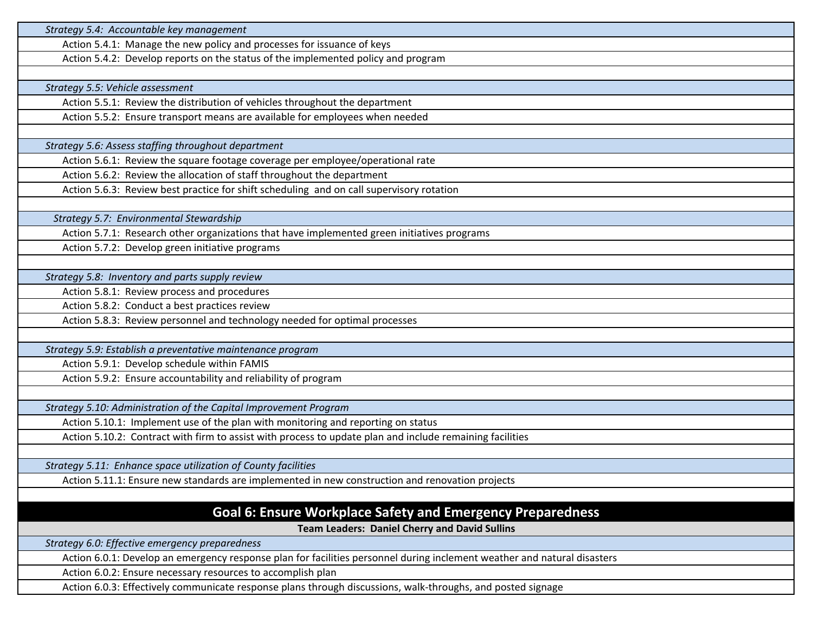| Strategy 5.4: Accountable key management                                                                                 |
|--------------------------------------------------------------------------------------------------------------------------|
| Action 5.4.1: Manage the new policy and processes for issuance of keys                                                   |
| Action 5.4.2: Develop reports on the status of the implemented policy and program                                        |
|                                                                                                                          |
| Strategy 5.5: Vehicle assessment                                                                                         |
| Action 5.5.1: Review the distribution of vehicles throughout the department                                              |
| Action 5.5.2: Ensure transport means are available for employees when needed                                             |
|                                                                                                                          |
| Strategy 5.6: Assess staffing throughout department                                                                      |
| Action 5.6.1: Review the square footage coverage per employee/operational rate                                           |
| Action 5.6.2: Review the allocation of staff throughout the department                                                   |
| Action 5.6.3: Review best practice for shift scheduling and on call supervisory rotation                                 |
|                                                                                                                          |
| Strategy 5.7: Environmental Stewardship                                                                                  |
| Action 5.7.1: Research other organizations that have implemented green initiatives programs                              |
| Action 5.7.2: Develop green initiative programs                                                                          |
|                                                                                                                          |
| Strategy 5.8: Inventory and parts supply review                                                                          |
| Action 5.8.1: Review process and procedures                                                                              |
| Action 5.8.2: Conduct a best practices review                                                                            |
| Action 5.8.3: Review personnel and technology needed for optimal processes                                               |
|                                                                                                                          |
| Strategy 5.9: Establish a preventative maintenance program                                                               |
| Action 5.9.1: Develop schedule within FAMIS                                                                              |
| Action 5.9.2: Ensure accountability and reliability of program                                                           |
|                                                                                                                          |
| Strategy 5.10: Administration of the Capital Improvement Program                                                         |
| Action 5.10.1: Implement use of the plan with monitoring and reporting on status                                         |
| Action 5.10.2: Contract with firm to assist with process to update plan and include remaining facilities                 |
|                                                                                                                          |
| Strategy 5.11: Enhance space utilization of County facilities                                                            |
| Action 5.11.1: Ensure new standards are implemented in new construction and renovation projects                          |
|                                                                                                                          |
| <b>Goal 6: Ensure Workplace Safety and Emergency Preparedness</b>                                                        |
| <b>Team Leaders: Daniel Cherry and David Sullins</b>                                                                     |
| Strategy 6.0: Effective emergency preparedness                                                                           |
| Action 6.0.1: Develop an emergency response plan for facilities personnel during inclement weather and natural disasters |
| Action 6.0.2: Ensure necessary resources to accomplish plan                                                              |
| Action 6.0.3: Effectively communicate response plans through discussions, walk-throughs, and posted signage              |